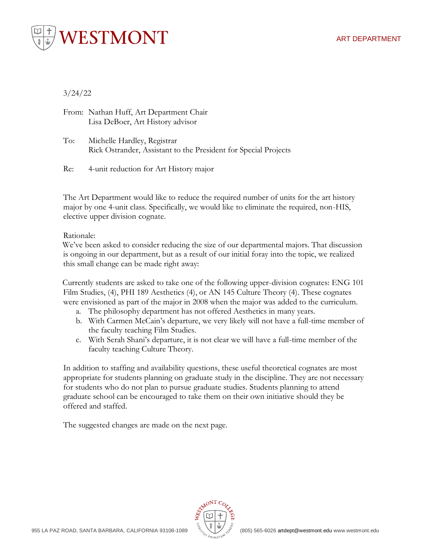



# 3/24/22

From: Nathan Huff, Art Department Chair Lisa DeBoer, Art History advisor

To: Michelle Hardley, Registrar Rick Ostrander, Assistant to the President for Special Projects

Re: 4-unit reduction for Art History major

The Art Department would like to reduce the required number of units for the art history major by one 4-unit class. Specifically, we would like to eliminate the required, non-HIS, elective upper division cognate.

Rationale:

We've been asked to consider reducing the size of our departmental majors. That discussion is ongoing in our department, but as a result of our initial foray into the topic, we realized this small change can be made right away:

Currently students are asked to take one of the following upper-division cognates: ENG 101 Film Studies, (4), PHI 189 Aesthetics (4), or AN 145 Culture Theory (4). These cognates were envisioned as part of the major in 2008 when the major was added to the curriculum.

- a. The philosophy department has not offered Aesthetics in many years.
- b. With Carmen McCain's departure, we very likely will not have a full-time member of the faculty teaching Film Studies.
- c. With Serah Shani's departure, it is not clear we will have a full-time member of the faculty teaching Culture Theory.

In addition to staffing and availability questions, these useful theoretical cognates are most appropriate for students planning on graduate study in the discipline. They are not necessary for students who do not plan to pursue graduate studies. Students planning to attend graduate school can be encouraged to take them on their own initiative should they be offered and staffed.

The suggested changes are made on the next page.